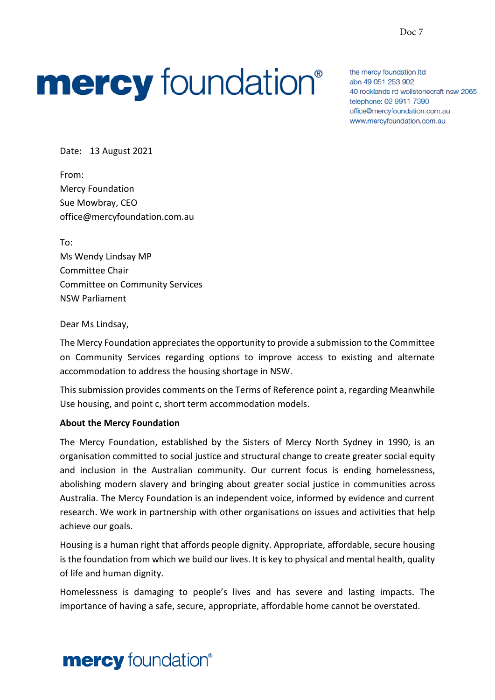# **mercy** foundation®

the mercy foundation Itd abn 49 051 253 902 40 rocklands rd wollstonecraft nsw 2065 telephone: 02 9911 7390 office@mercyfoundation.com.au www.mercyfoundation.com.au

Date: 13 August 2021

From: Mercy Foundation Sue Mowbray, CEO office@mercyfoundation.com.au

To: Ms Wendy Lindsay MP Committee Chair Committee on Community Services NSW Parliament

Dear Ms Lindsay,

The Mercy Foundation appreciates the opportunity to provide a submission to the Committee on Community Services regarding options to improve access to existing and alternate accommodation to address the housing shortage in NSW.

This submission provides comments on the Terms of Reference point a, regarding Meanwhile Use housing, and point c, short term accommodation models.

#### **About the Mercy Foundation**

The Mercy Foundation, established by the Sisters of Mercy North Sydney in 1990, is an organisation committed to social justice and structural change to create greater social equity and inclusion in the Australian community. Our current focus is ending homelessness, abolishing modern slavery and bringing about greater social justice in communities across Australia. The Mercy Foundation is an independent voice, informed by evidence and current research. We work in partnership with other organisations on issues and activities that help achieve our goals.

Housing is a human right that affords people dignity. Appropriate, affordable, secure housing is the foundation from which we build our lives. It is key to physical and mental health, quality of life and human dignity.

Homelessness is damaging to people's lives and has severe and lasting impacts. The importance of having a safe, secure, appropriate, affordable home cannot be overstated.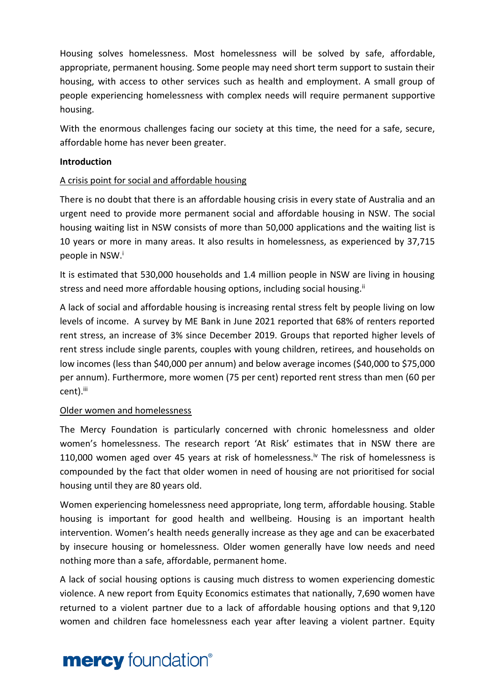Housing solves homelessness. Most homelessness will be solved by safe, affordable, appropriate, permanent housing. Some people may need short term support to sustain their housing, with access to other services such as health and employment. A small group of people experiencing homelessness with complex needs will require permanent supportive housing.

With the enormous challenges facing our society at this time, the need for a safe, secure, affordable home has never been greater.

### **Introduction**

### A crisis point for social and affordable housing

There is no doubt that there is an affordable housing crisis in every state of Australia and an urgent need to provide more permanent social and affordable housing in NSW. The social housing waiting list in NSW consists of more than 50,000 applications and the waiting list is 10 years or more in many areas. It also results in homelessness, as experienced by 37,715 people in NSW.<sup>i</sup>

It is estimated that 530,000 households and 1.4 million people in NSW are living in housing stress and need more affordable housing options, including social housing.<sup>ii</sup>

A lack of social and affordable housing is increasing rental stress felt by people living on low levels of income. A survey by ME Bank in June 2021 reported that 68% of renters reported rent stress, an increase of 3% since December 2019. Groups that reported higher levels of rent stress include single parents, couples with young children, retirees, and households on low incomes (less than \$40,000 per annum) and below average incomes (\$40,000 to \$75,000 per annum). Furthermore, more women (75 per cent) reported rent stress than men (60 per cent).<sup>iii</sup>

#### Older women and homelessness

The Mercy Foundation is particularly concerned with chronic homelessness and older women's homelessness. The research report 'At Risk' estimates that in NSW there are 110,000 women aged over 45 years at risk of homelessness.<sup>iv</sup> The risk of homelessness is compounded by the fact that older women in need of housing are not prioritised for social housing until they are 80 years old.

Women experiencing homelessness need appropriate, long term, affordable housing. Stable housing is important for good health and wellbeing. Housing is an important health intervention. Women's health needs generally increase as they age and can be exacerbated by insecure housing or homelessness. Older women generally have low needs and need nothing more than a safe, affordable, permanent home.

A lack of social housing options is causing much distress to women experiencing domestic violence. A new report from Equity Economics estimates that nationally, 7,690 women have returned to a violent partner due to a lack of affordable housing options and that 9,120 women and children face homelessness each year after leaving a violent partner. Equity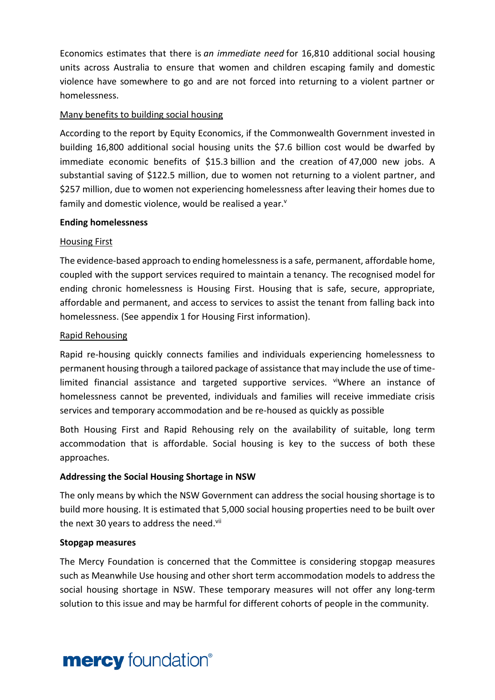Economics estimates that there is *an immediate need* for 16,810 additional social housing units across Australia to ensure that women and children escaping family and domestic violence have somewhere to go and are not forced into returning to a violent partner or homelessness.

# Many benefits to building social housing

According to the report by Equity Economics, if the Commonwealth Government invested in building 16,800 additional social housing units the \$7.6 billion cost would be dwarfed by immediate economic benefits of \$15.3 billion and the creation of 47,000 new jobs. A substantial saving of \$122.5 million, due to women not returning to a violent partner, and \$257 million, due to women not experiencing homelessness after leaving their homes due to family and domestic violence, would be realised a year.<sup>v</sup>

### **Ending homelessness**

### Housing First

The evidence-based approach to ending homelessness is a safe, permanent, affordable home, coupled with the support services required to maintain a tenancy. The recognised model for ending chronic homelessness is Housing First. Housing that is safe, secure, appropriate, affordable and permanent, and access to services to assist the tenant from falling back into homelessness. (See appendix 1 for Housing First information).

### Rapid Rehousing

Rapid re-housing quickly connects families and individuals experiencing homelessness to permanent housing through a tailored package of assistance that may include the use of timelimited financial assistance and targeted supportive services. ViWhere an instance of homelessness cannot be prevented, individuals and families will receive immediate crisis services and temporary accommodation and be re-housed as quickly as possible

Both Housing First and Rapid Rehousing rely on the availability of suitable, long term accommodation that is affordable. Social housing is key to the success of both these approaches.

# **Addressing the Social Housing Shortage in NSW**

The only means by which the NSW Government can address the social housing shortage is to build more housing. It is estimated that 5,000 social housing properties need to be built over the next 30 years to address the need.<sup>vii</sup>

#### **Stopgap measures**

The Mercy Foundation is concerned that the Committee is considering stopgap measures such as Meanwhile Use housing and other short term accommodation models to address the social housing shortage in NSW. These temporary measures will not offer any long-term solution to this issue and may be harmful for different cohorts of people in the community.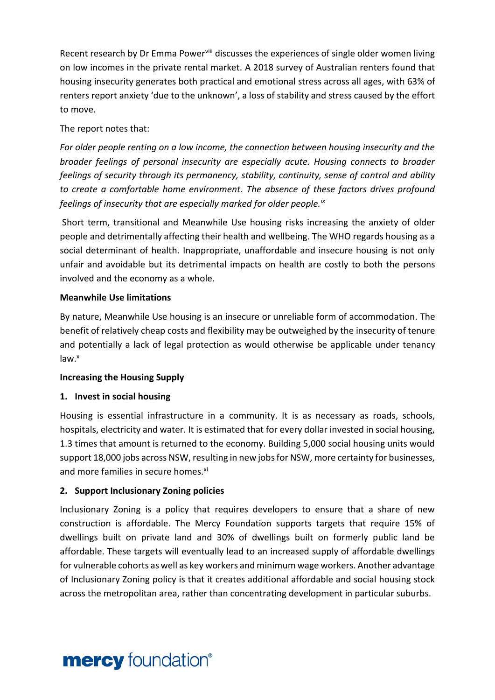Recent research by Dr Emma Power<sup>viii</sup> discusses the experiences of single older women living on low incomes in the private rental market. A 2018 survey of Australian renters found that housing insecurity generates both practical and emotional stress across all ages, with 63% of renters report anxiety 'due to the unknown', a loss of stability and stress caused by the effort to move.

# The report notes that:

*For older people renting on a low income, the connection between housing insecurity and the broader feelings of personal insecurity are especially acute. Housing connects to broader feelings of security through its permanency, stability, continuity, sense of control and ability to create a comfortable home environment. The absence of these factors drives profound feelings of insecurity that are especially marked for older people.ix*

Short term, transitional and Meanwhile Use housing risks increasing the anxiety of older people and detrimentally affecting their health and wellbeing. The WHO regards housing as a social determinant of health. Inappropriate, unaffordable and insecure housing is not only unfair and avoidable but its detrimental impacts on health are costly to both the persons involved and the economy as a whole.

# **Meanwhile Use limitations**

By nature, Meanwhile Use housing is an insecure or unreliable form of accommodation. The benefit of relatively cheap costs and flexibility may be outweighed by the insecurity of tenure and potentially a lack of legal protection as would otherwise be applicable under tenancy  $law<sup>x</sup>$ 

# **Increasing the Housing Supply**

# **1. Invest in social housing**

Housing is essential infrastructure in a community. It is as necessary as roads, schools, hospitals, electricity and water. It is estimated that for every dollar invested in social housing, 1.3 times that amount is returned to the economy. Building 5,000 social housing units would support 18,000 jobs across NSW, resulting in new jobs for NSW, more certainty for businesses, and more families in secure homes.<sup>xi</sup>

# **2. Support Inclusionary Zoning policies**

Inclusionary Zoning is a policy that requires developers to ensure that a share of new construction is affordable. The Mercy Foundation supports targets that require 15% of dwellings built on private land and 30% of dwellings built on formerly public land be affordable. These targets will eventually lead to an increased supply of affordable dwellings for vulnerable cohorts as well as key workers and minimum wage workers. Another advantage of Inclusionary Zoning policy is that it creates additional affordable and social housing stock across the metropolitan area, rather than concentrating development in particular suburbs.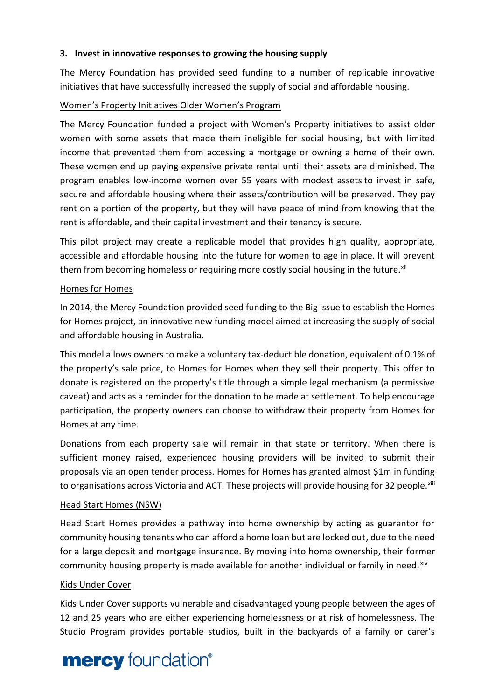# **3. Invest in innovative responses to growing the housing supply**

The Mercy Foundation has provided seed funding to a number of replicable innovative initiatives that have successfully increased the supply of social and affordable housing.

# Women's Property Initiatives Older Women's Program

The Mercy Foundation funded a project with Women's Property initiatives to assist older women with some assets that made them ineligible for social housing, but with limited income that prevented them from accessing a mortgage or owning a home of their own. These women end up paying expensive private rental until their assets are diminished. The program enables low-income women over 55 years with modest assets to invest in safe, secure and affordable housing where their assets/contribution will be preserved. They pay rent on a portion of the property, but they will have peace of mind from knowing that the rent is affordable, and their capital investment and their tenancy is secure.

This pilot project may create a replicable model that provides high quality, appropriate, accessible and affordable housing into the future for women to age in place. It will prevent them from becoming homeless or requiring more costly social housing in the future.<sup>xii</sup>

### Homes for Homes

In 2014, the Mercy Foundation provided seed funding to the Big Issue to establish the Homes for Homes project, an innovative new funding model aimed at increasing the supply of social and affordable housing in Australia.

This model allows owners to make a voluntary tax-deductible donation, equivalent of 0.1% of the property's sale price, to Homes for Homes when they sell their property. This offer to donate is registered on the property's title through a simple legal mechanism (a permissive caveat) and acts as a reminder for the donation to be made at settlement. To help encourage participation, the property owners can choose to withdraw their property from Homes for Homes at any time.

Donations from each property sale will remain in that state or territory. When there is sufficient money raised, experienced housing providers will be invited to submit their proposals via an open tender process. Homes for Homes has granted almost \$1m in funding to organisations across Victoria and ACT. These projects will provide housing for 32 people.<sup>xiii</sup>

# Head Start Homes (NSW)

Head Start Homes provides a pathway into home ownership by acting as guarantor for community housing tenants who can afford a home loan but are locked out, due to the need for a large deposit and mortgage insurance. By moving into home ownership, their former community housing property is made available for another individual or family in need. Xiv

# Kids Under Cover

Kids Under Cover supports vulnerable and disadvantaged young people between the ages of 12 and 25 years who are either experiencing homelessness or at risk of homelessness. The Studio Program provides portable studios, built in the backyards of a family or carer's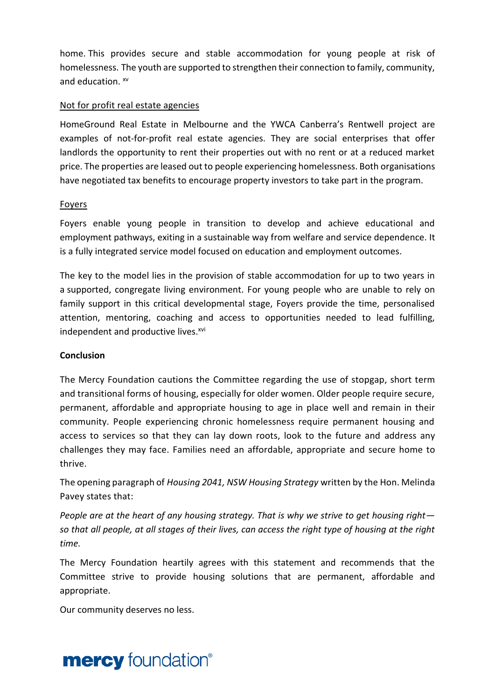home. This provides secure and stable accommodation for young people at risk of homelessness. The youth are supported to strengthen their connection to family, community, and education.  $xv$ 

# Not for profit real estate agencies

HomeGround Real Estate in Melbourne and the YWCA Canberra's Rentwell project are examples of not-for-profit real estate agencies. They are social enterprises that offer landlords the opportunity to rent their properties out with no rent or at a reduced market price. The properties are leased out to people experiencing homelessness. Both organisations have negotiated tax benefits to encourage property investors to take part in the program.

### Foyers

Foyers enable young people in transition to develop and achieve educational and employment pathways, exiting in a sustainable way from welfare and service dependence. It is a fully integrated service model focused on education and employment outcomes.

The key to the model lies in the provision of stable accommodation for up to two years in a supported, congregate living environment. For young people who are unable to rely on family support in this critical developmental stage, Foyers provide the time, personalised attention, mentoring, coaching and access to opportunities needed to lead fulfilling, independent and productive lives.<sup>xvi</sup>

# **Conclusion**

The Mercy Foundation cautions the Committee regarding the use of stopgap, short term and transitional forms of housing, especially for older women. Older people require secure, permanent, affordable and appropriate housing to age in place well and remain in their community. People experiencing chronic homelessness require permanent housing and access to services so that they can lay down roots, look to the future and address any challenges they may face. Families need an affordable, appropriate and secure home to thrive.

The opening paragraph of *Housing 2041, NSW Housing Strategy* written by the Hon. Melinda Pavey states that:

*People are at the heart of any housing strategy. That is why we strive to get housing right so that all people, at all stages of their lives, can access the right type of housing at the right time.* 

The Mercy Foundation heartily agrees with this statement and recommends that the Committee strive to provide housing solutions that are permanent, affordable and appropriate.

Our community deserves no less.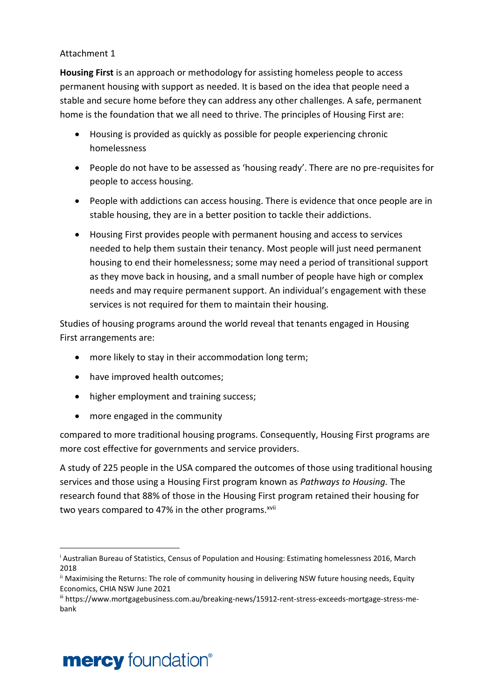## Attachment 1

**Housing First** is an approach or methodology for assisting homeless people to access permanent housing with support as needed. It is based on the idea that people need a stable and secure home before they can address any other challenges. A safe, permanent home is the foundation that we all need to thrive. The principles of Housing First are:

- Housing is provided as quickly as possible for people experiencing chronic homelessness
- People do not have to be assessed as 'housing ready'. There are no pre-requisites for people to access housing.
- People with addictions can access housing. There is evidence that once people are in stable housing, they are in a better position to tackle their addictions.
- Housing First provides people with permanent housing and access to services needed to help them sustain their tenancy. Most people will just need permanent housing to end their homelessness; some may need a period of transitional support as they move back in housing, and a small number of people have high or complex needs and may require permanent support. An individual's engagement with these services is not required for them to maintain their housing.

Studies of housing programs around the world reveal that tenants engaged in Housing First arrangements are:

- more likely to stay in their accommodation long term;
- have improved health outcomes;
- higher employment and training success;
- more engaged in the community

compared to more traditional housing programs. Consequently, Housing First programs are more cost effective for governments and service providers.

A study of 225 people in the USA compared the outcomes of those using traditional housing services and those using a Housing First program known as *Pathways to Housing.* The research found that 88% of those in the Housing First program retained their housing for two years compared to 47% in the other programs.<sup>xvii</sup>

# **mercy** foundation<sup>®</sup>

<sup>i</sup> Australian Bureau of Statistics, Census of Population and Housing: Estimating homelessness 2016, March 2018

ii Maximising the Returns: The role of community housing in delivering NSW future housing needs, Equity Economics, CHIA NSW June 2021

iii https://www.mortgagebusiness.com.au/breaking-news/15912-rent-stress-exceeds-mortgage-stress-mebank